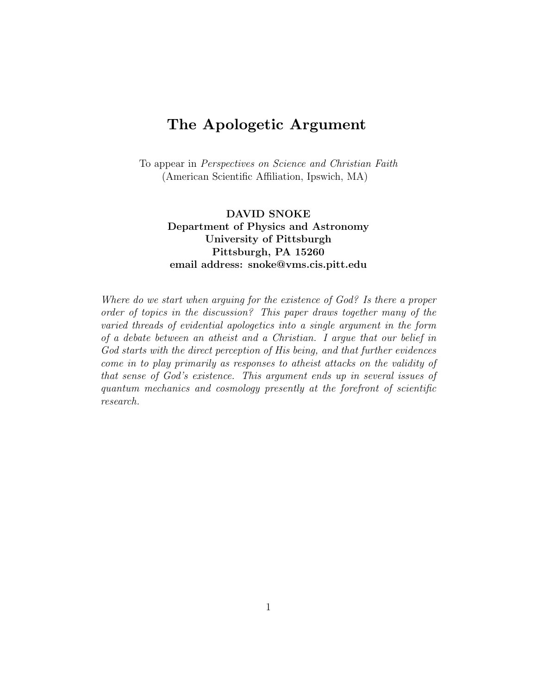# **The Apologetic Argument**

To appear in Perspectives on Science and Christian Faith (American Scientific Affiliation, Ipswich, MA)

#### **DAVID SNOKE Department of Physics and Astronomy University of Pittsburgh Pittsburgh, PA 15260 email address: snoke@vms.cis.pitt.edu**

Where do we start when arguing for the existence of God? Is there a proper order of topics in the discussion? This paper draws together many of the varied threads of evidential apologetics into a single argument in the form of a debate between an atheist and a Christian. I argue that our belief in God starts with the direct perception of His being, and that further evidences come in to play primarily as responses to atheist attacks on the validity of that sense of God's existence. This argument ends up in several issues of quantum mechanics and cosmology presently at the forefront of scientific research.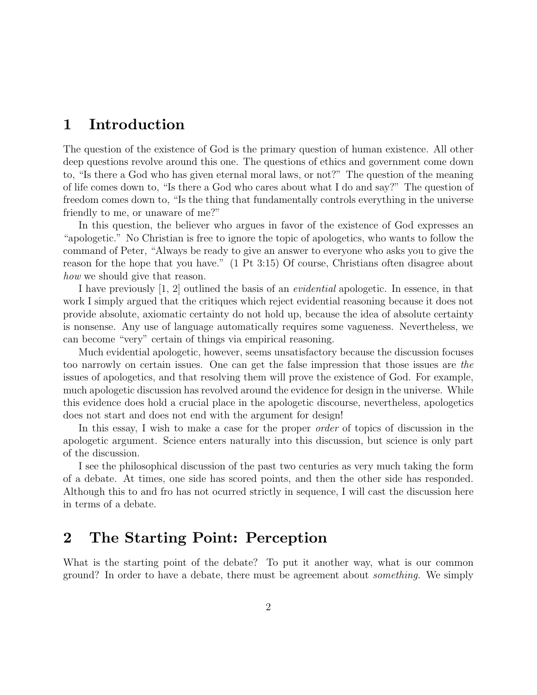### **1 Introduction**

The question of the existence of God is the primary question of human existence. All other deep questions revolve around this one. The questions of ethics and government come down to, "Is there a God who has given eternal moral laws, or not?" The question of the meaning of life comes down to, "Is there a God who cares about what I do and say?" The question of freedom comes down to, "Is the thing that fundamentally controls everything in the universe friendly to me, or unaware of me?"

In this question, the believer who argues in favor of the existence of God expresses an "apologetic." No Christian is free to ignore the topic of apologetics, who wants to follow the command of Peter, "Always be ready to give an answer to everyone who asks you to give the reason for the hope that you have." (1 Pt 3:15) Of course, Christians often disagree about how we should give that reason.

I have previously [1, 2] outlined the basis of an evidential apologetic. In essence, in that work I simply argued that the critiques which reject evidential reasoning because it does not provide absolute, axiomatic certainty do not hold up, because the idea of absolute certainty is nonsense. Any use of language automatically requires some vagueness. Nevertheless, we can become "very" certain of things via empirical reasoning.

Much evidential apologetic, however, seems unsatisfactory because the discussion focuses too narrowly on certain issues. One can get the false impression that those issues are the issues of apologetics, and that resolving them will prove the existence of God. For example, much apologetic discussion has revolved around the evidence for design in the universe. While this evidence does hold a crucial place in the apologetic discourse, nevertheless, apologetics does not start and does not end with the argument for design!

In this essay, I wish to make a case for the proper *order* of topics of discussion in the apologetic argument. Science enters naturally into this discussion, but science is only part of the discussion.

I see the philosophical discussion of the past two centuries as very much taking the form of a debate. At times, one side has scored points, and then the other side has responded. Although this to and fro has not ocurred strictly in sequence, I will cast the discussion here in terms of a debate.

### **2 The Starting Point: Perception**

What is the starting point of the debate? To put it another way, what is our common ground? In order to have a debate, there must be agreement about something. We simply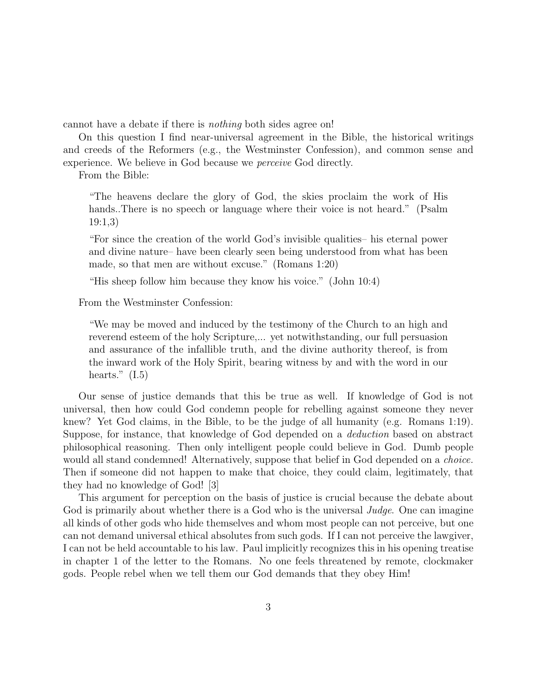cannot have a debate if there is nothing both sides agree on!

On this question I find near-universal agreement in the Bible, the historical writings and creeds of the Reformers (e.g., the Westminster Confession), and common sense and experience. We believe in God because we perceive God directly.

From the Bible:

"The heavens declare the glory of God, the skies proclaim the work of His hands..There is no speech or language where their voice is not heard." (Psalm 19:1,3)

"For since the creation of the world God's invisible qualities– his eternal power and divine nature– have been clearly seen being understood from what has been made, so that men are without excuse." (Romans 1:20)

"His sheep follow him because they know his voice." (John 10:4)

From the Westminster Confession:

"We may be moved and induced by the testimony of the Church to an high and reverend esteem of the holy Scripture,... yet notwithstanding, our full persuasion and assurance of the infallible truth, and the divine authority thereof, is from the inward work of the Holy Spirit, bearing witness by and with the word in our hearts."  $(1.5)$ 

Our sense of justice demands that this be true as well. If knowledge of God is not universal, then how could God condemn people for rebelling against someone they never knew? Yet God claims, in the Bible, to be the judge of all humanity (e.g. Romans 1:19). Suppose, for instance, that knowledge of God depended on a deduction based on abstract philosophical reasoning. Then only intelligent people could believe in God. Dumb people would all stand condemned! Alternatively, suppose that belief in God depended on a *choice*. Then if someone did not happen to make that choice, they could claim, legitimately, that they had no knowledge of God! [3]

This argument for perception on the basis of justice is crucial because the debate about God is primarily about whether there is a God who is the universal *Judge*. One can imagine all kinds of other gods who hide themselves and whom most people can not perceive, but one can not demand universal ethical absolutes from such gods. If I can not perceive the lawgiver, I can not be held accountable to his law. Paul implicitly recognizes this in his opening treatise in chapter 1 of the letter to the Romans. No one feels threatened by remote, clockmaker gods. People rebel when we tell them our God demands that they obey Him!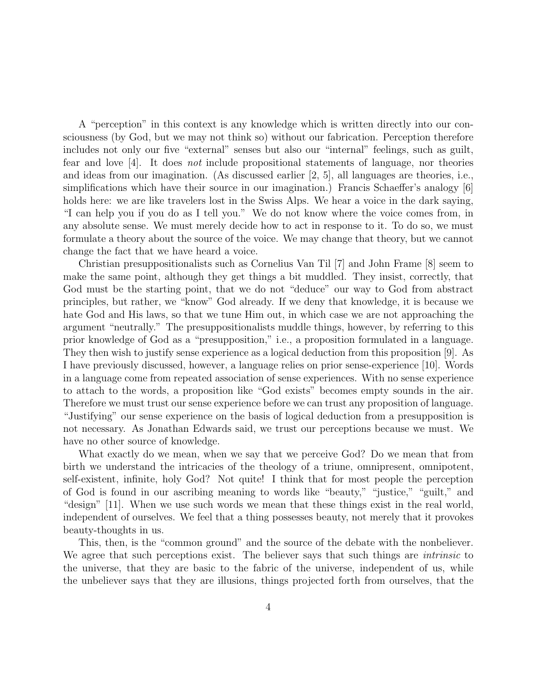A "perception" in this context is any knowledge which is written directly into our consciousness (by God, but we may not think so) without our fabrication. Perception therefore includes not only our five "external" senses but also our "internal" feelings, such as guilt, fear and love [4]. It does not include propositional statements of language, nor theories and ideas from our imagination. (As discussed earlier [2, 5], all languages are theories, i.e., simplifications which have their source in our imagination.) Francis Schaeffer's analogy [6] holds here: we are like travelers lost in the Swiss Alps. We hear a voice in the dark saying, "I can help you if you do as I tell you." We do not know where the voice comes from, in any absolute sense. We must merely decide how to act in response to it. To do so, we must formulate a theory about the source of the voice. We may change that theory, but we cannot change the fact that we have heard a voice.

Christian presuppositionalists such as Cornelius Van Til [7] and John Frame [8] seem to make the same point, although they get things a bit muddled. They insist, correctly, that God must be the starting point, that we do not "deduce" our way to God from abstract principles, but rather, we "know" God already. If we deny that knowledge, it is because we hate God and His laws, so that we tune Him out, in which case we are not approaching the argument "neutrally." The presuppositionalists muddle things, however, by referring to this prior knowledge of God as a "presupposition," i.e., a proposition formulated in a language. They then wish to justify sense experience as a logical deduction from this proposition [9]. As I have previously discussed, however, a language relies on prior sense-experience [10]. Words in a language come from repeated association of sense experiences. With no sense experience to attach to the words, a proposition like "God exists" becomes empty sounds in the air. Therefore we must trust our sense experience before we can trust any proposition of language. "Justifying" our sense experience on the basis of logical deduction from a presupposition is not necessary. As Jonathan Edwards said, we trust our perceptions because we must. We have no other source of knowledge.

What exactly do we mean, when we say that we perceive God? Do we mean that from birth we understand the intricacies of the theology of a triune, omnipresent, omnipotent, self-existent, infinite, holy God? Not quite! I think that for most people the perception of God is found in our ascribing meaning to words like "beauty," "justice," "guilt," and "design" [11]. When we use such words we mean that these things exist in the real world, independent of ourselves. We feel that a thing possesses beauty, not merely that it provokes beauty-thoughts in us.

This, then, is the "common ground" and the source of the debate with the nonbeliever. We agree that such perceptions exist. The believer says that such things are *intrinsic* to the universe, that they are basic to the fabric of the universe, independent of us, while the unbeliever says that they are illusions, things projected forth from ourselves, that the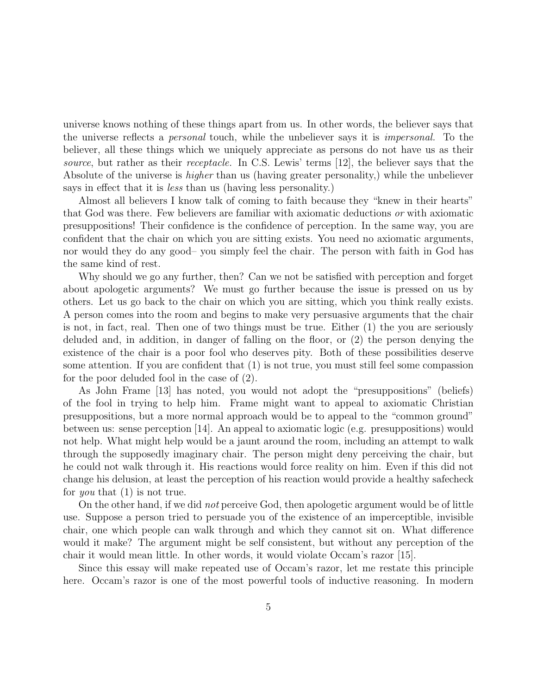universe knows nothing of these things apart from us. In other words, the believer says that the universe reflects a personal touch, while the unbeliever says it is impersonal. To the believer, all these things which we uniquely appreciate as persons do not have us as their source, but rather as their *receptacle*. In C.S. Lewis' terms [12], the believer says that the Absolute of the universe is *higher* than us (having greater personality,) while the unbeliever says in effect that it is less than us (having less personality.)

Almost all believers I know talk of coming to faith because they "knew in their hearts" that God was there. Few believers are familiar with axiomatic deductions or with axiomatic presuppositions! Their confidence is the confidence of perception. In the same way, you are confident that the chair on which you are sitting exists. You need no axiomatic arguments, nor would they do any good– you simply feel the chair. The person with faith in God has the same kind of rest.

Why should we go any further, then? Can we not be satisfied with perception and forget about apologetic arguments? We must go further because the issue is pressed on us by others. Let us go back to the chair on which you are sitting, which you think really exists. A person comes into the room and begins to make very persuasive arguments that the chair is not, in fact, real. Then one of two things must be true. Either (1) the you are seriously deluded and, in addition, in danger of falling on the floor, or (2) the person denying the existence of the chair is a poor fool who deserves pity. Both of these possibilities deserve some attention. If you are confident that (1) is not true, you must still feel some compassion for the poor deluded fool in the case of (2).

As John Frame [13] has noted, you would not adopt the "presuppositions" (beliefs) of the fool in trying to help him. Frame might want to appeal to axiomatic Christian presuppositions, but a more normal approach would be to appeal to the "common ground" between us: sense perception [14]. An appeal to axiomatic logic (e.g. presuppositions) would not help. What might help would be a jaunt around the room, including an attempt to walk through the supposedly imaginary chair. The person might deny perceiving the chair, but he could not walk through it. His reactions would force reality on him. Even if this did not change his delusion, at least the perception of his reaction would provide a healthy safecheck for *you* that (1) is not true.

On the other hand, if we did not perceive God, then apologetic argument would be of little use. Suppose a person tried to persuade you of the existence of an imperceptible, invisible chair, one which people can walk through and which they cannot sit on. What difference would it make? The argument might be self consistent, but without any perception of the chair it would mean little. In other words, it would violate Occam's razor [15].

Since this essay will make repeated use of Occam's razor, let me restate this principle here. Occam's razor is one of the most powerful tools of inductive reasoning. In modern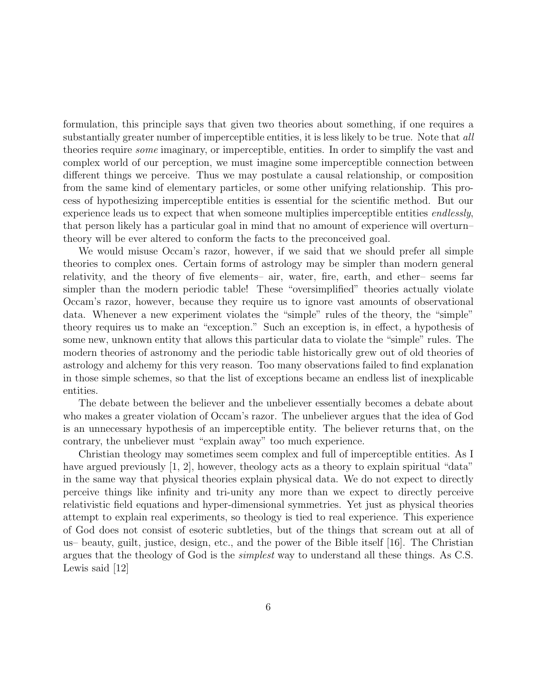formulation, this principle says that given two theories about something, if one requires a substantially greater number of imperceptible entities, it is less likely to be true. Note that all theories require some imaginary, or imperceptible, entities. In order to simplify the vast and complex world of our perception, we must imagine some imperceptible connection between different things we perceive. Thus we may postulate a causal relationship, or composition from the same kind of elementary particles, or some other unifying relationship. This process of hypothesizing imperceptible entities is essential for the scientific method. But our experience leads us to expect that when someone multiplies imperceptible entities endlessly, that person likely has a particular goal in mind that no amount of experience will overturn– theory will be ever altered to conform the facts to the preconceived goal.

We would misuse Occam's razor, however, if we said that we should prefer all simple theories to complex ones. Certain forms of astrology may be simpler than modern general relativity, and the theory of five elements– air, water, fire, earth, and ether– seems far simpler than the modern periodic table! These "oversimplified" theories actually violate Occam's razor, however, because they require us to ignore vast amounts of observational data. Whenever a new experiment violates the "simple" rules of the theory, the "simple" theory requires us to make an "exception." Such an exception is, in effect, a hypothesis of some new, unknown entity that allows this particular data to violate the "simple" rules. The modern theories of astronomy and the periodic table historically grew out of old theories of astrology and alchemy for this very reason. Too many observations failed to find explanation in those simple schemes, so that the list of exceptions became an endless list of inexplicable entities.

The debate between the believer and the unbeliever essentially becomes a debate about who makes a greater violation of Occam's razor. The unbeliever argues that the idea of God is an unnecessary hypothesis of an imperceptible entity. The believer returns that, on the contrary, the unbeliever must "explain away" too much experience.

Christian theology may sometimes seem complex and full of imperceptible entities. As I have argued previously [1, 2], however, theology acts as a theory to explain spiritual "data" in the same way that physical theories explain physical data. We do not expect to directly perceive things like infinity and tri-unity any more than we expect to directly perceive relativistic field equations and hyper-dimensional symmetries. Yet just as physical theories attempt to explain real experiments, so theology is tied to real experience. This experience of God does not consist of esoteric subtleties, but of the things that scream out at all of us– beauty, guilt, justice, design, etc., and the power of the Bible itself [16]. The Christian argues that the theology of God is the simplest way to understand all these things. As C.S. Lewis said [12]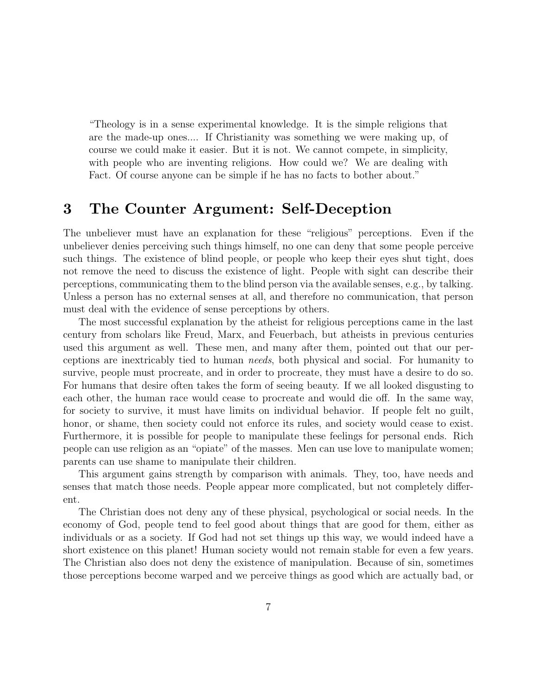"Theology is in a sense experimental knowledge. It is the simple religions that are the made-up ones.... If Christianity was something we were making up, of course we could make it easier. But it is not. We cannot compete, in simplicity, with people who are inventing religions. How could we? We are dealing with Fact. Of course anyone can be simple if he has no facts to bother about."

### **3 The Counter Argument: Self-Deception**

The unbeliever must have an explanation for these "religious" perceptions. Even if the unbeliever denies perceiving such things himself, no one can deny that some people perceive such things. The existence of blind people, or people who keep their eyes shut tight, does not remove the need to discuss the existence of light. People with sight can describe their perceptions, communicating them to the blind person via the available senses, e.g., by talking. Unless a person has no external senses at all, and therefore no communication, that person must deal with the evidence of sense perceptions by others.

The most successful explanation by the atheist for religious perceptions came in the last century from scholars like Freud, Marx, and Feuerbach, but atheists in previous centuries used this argument as well. These men, and many after them, pointed out that our perceptions are inextricably tied to human needs, both physical and social. For humanity to survive, people must procreate, and in order to procreate, they must have a desire to do so. For humans that desire often takes the form of seeing beauty. If we all looked disgusting to each other, the human race would cease to procreate and would die off. In the same way, for society to survive, it must have limits on individual behavior. If people felt no guilt, honor, or shame, then society could not enforce its rules, and society would cease to exist. Furthermore, it is possible for people to manipulate these feelings for personal ends. Rich people can use religion as an "opiate" of the masses. Men can use love to manipulate women; parents can use shame to manipulate their children.

This argument gains strength by comparison with animals. They, too, have needs and senses that match those needs. People appear more complicated, but not completely different.

The Christian does not deny any of these physical, psychological or social needs. In the economy of God, people tend to feel good about things that are good for them, either as individuals or as a society. If God had not set things up this way, we would indeed have a short existence on this planet! Human society would not remain stable for even a few years. The Christian also does not deny the existence of manipulation. Because of sin, sometimes those perceptions become warped and we perceive things as good which are actually bad, or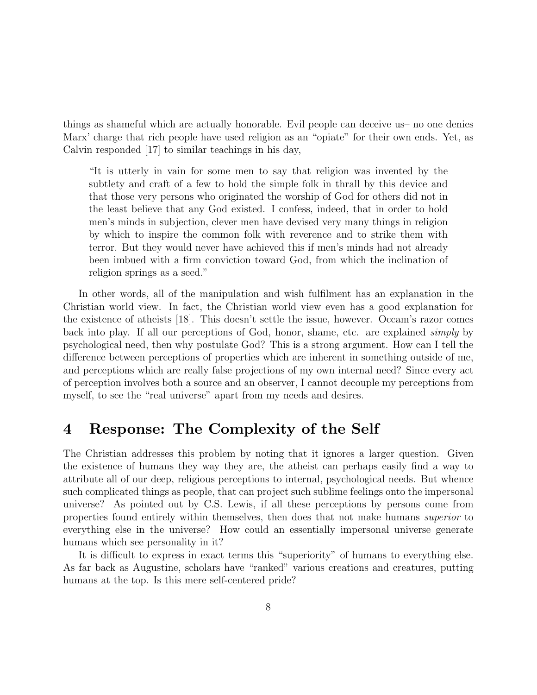things as shameful which are actually honorable. Evil people can deceive us– no one denies Marx' charge that rich people have used religion as an "opiate" for their own ends. Yet, as Calvin responded [17] to similar teachings in his day,

"It is utterly in vain for some men to say that religion was invented by the subtlety and craft of a few to hold the simple folk in thrall by this device and that those very persons who originated the worship of God for others did not in the least believe that any God existed. I confess, indeed, that in order to hold men's minds in subjection, clever men have devised very many things in religion by which to inspire the common folk with reverence and to strike them with terror. But they would never have achieved this if men's minds had not already been imbued with a firm conviction toward God, from which the inclination of religion springs as a seed."

In other words, all of the manipulation and wish fulfilment has an explanation in the Christian world view. In fact, the Christian world view even has a good explanation for the existence of atheists [18]. This doesn't settle the issue, however. Occam's razor comes back into play. If all our perceptions of God, honor, shame, etc. are explained simply by psychological need, then why postulate God? This is a strong argument. How can I tell the difference between perceptions of properties which are inherent in something outside of me, and perceptions which are really false projections of my own internal need? Since every act of perception involves both a source and an observer, I cannot decouple my perceptions from myself, to see the "real universe" apart from my needs and desires.

#### **4 Response: The Complexity of the Self**

The Christian addresses this problem by noting that it ignores a larger question. Given the existence of humans they way they are, the atheist can perhaps easily find a way to attribute all of our deep, religious perceptions to internal, psychological needs. But whence such complicated things as people, that can project such sublime feelings onto the impersonal universe? As pointed out by C.S. Lewis, if all these perceptions by persons come from properties found entirely within themselves, then does that not make humans superior to everything else in the universe? How could an essentially impersonal universe generate humans which see personality in it?

It is difficult to express in exact terms this "superiority" of humans to everything else. As far back as Augustine, scholars have "ranked" various creations and creatures, putting humans at the top. Is this mere self-centered pride?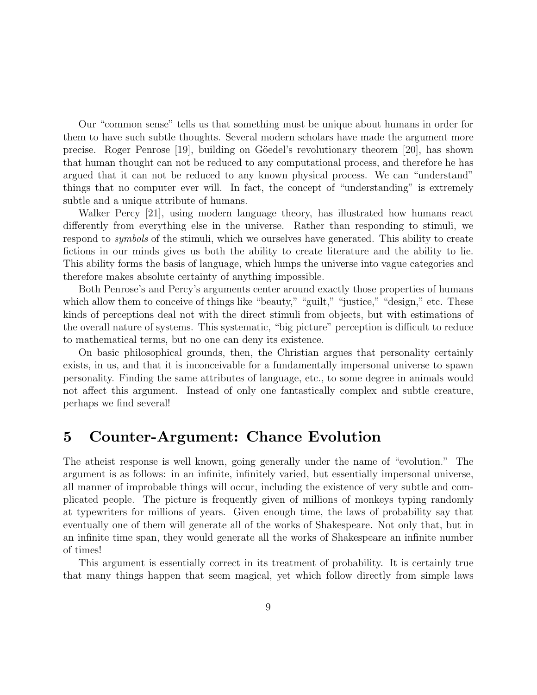Our "common sense" tells us that something must be unique about humans in order for them to have such subtle thoughts. Several modern scholars have made the argument more precise. Roger Penrose [19], building on G¨oedel's revolutionary theorem [20], has shown that human thought can not be reduced to any computational process, and therefore he has argued that it can not be reduced to any known physical process. We can "understand" things that no computer ever will. In fact, the concept of "understanding" is extremely subtle and a unique attribute of humans.

Walker Percy [21], using modern language theory, has illustrated how humans react differently from everything else in the universe. Rather than responding to stimuli, we respond to symbols of the stimuli, which we ourselves have generated. This ability to create fictions in our minds gives us both the ability to create literature and the ability to lie. This ability forms the basis of language, which lumps the universe into vague categories and therefore makes absolute certainty of anything impossible.

Both Penrose's and Percy's arguments center around exactly those properties of humans which allow them to conceive of things like "beauty," "guilt," "justice," "design," etc. These kinds of perceptions deal not with the direct stimuli from objects, but with estimations of the overall nature of systems. This systematic, "big picture" perception is difficult to reduce to mathematical terms, but no one can deny its existence.

On basic philosophical grounds, then, the Christian argues that personality certainly exists, in us, and that it is inconceivable for a fundamentally impersonal universe to spawn personality. Finding the same attributes of language, etc., to some degree in animals would not affect this argument. Instead of only one fantastically complex and subtle creature, perhaps we find several!

### **5 Counter-Argument: Chance Evolution**

The atheist response is well known, going generally under the name of "evolution." The argument is as follows: in an infinite, infinitely varied, but essentially impersonal universe, all manner of improbable things will occur, including the existence of very subtle and complicated people. The picture is frequently given of millions of monkeys typing randomly at typewriters for millions of years. Given enough time, the laws of probability say that eventually one of them will generate all of the works of Shakespeare. Not only that, but in an infinite time span, they would generate all the works of Shakespeare an infinite number of times!

This argument is essentially correct in its treatment of probability. It is certainly true that many things happen that seem magical, yet which follow directly from simple laws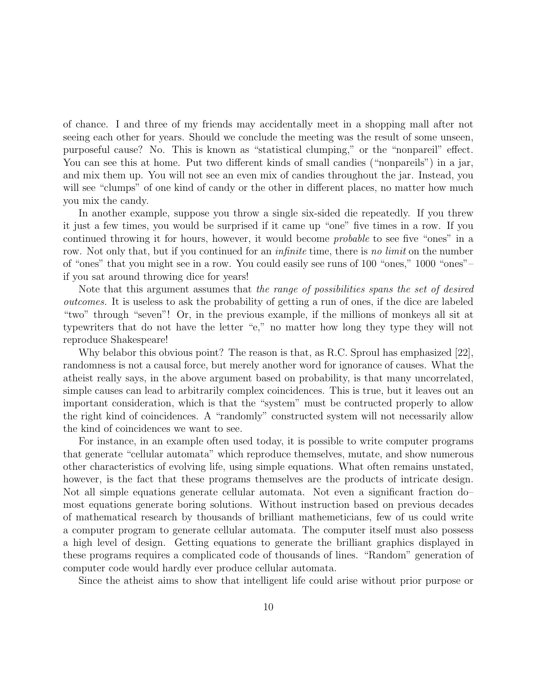of chance. I and three of my friends may accidentally meet in a shopping mall after not seeing each other for years. Should we conclude the meeting was the result of some unseen, purposeful cause? No. This is known as "statistical clumping," or the "nonpareil" effect. You can see this at home. Put two different kinds of small candies ("nonpareils") in a jar, and mix them up. You will not see an even mix of candies throughout the jar. Instead, you will see "clumps" of one kind of candy or the other in different places, no matter how much you mix the candy.

In another example, suppose you throw a single six-sided die repeatedly. If you threw it just a few times, you would be surprised if it came up "one" five times in a row. If you continued throwing it for hours, however, it would become probable to see five "ones" in a row. Not only that, but if you continued for an *infinite* time, there is no *limit* on the number of "ones" that you might see in a row. You could easily see runs of 100 "ones," 1000 "ones"– if you sat around throwing dice for years!

Note that this argument assumes that the range of possibilities spans the set of desired outcomes. It is useless to ask the probability of getting a run of ones, if the dice are labeled "two" through "seven"! Or, in the previous example, if the millions of monkeys all sit at typewriters that do not have the letter "e," no matter how long they type they will not reproduce Shakespeare!

Why belabor this obvious point? The reason is that, as R.C. Sproul has emphasized [22], randomness is not a causal force, but merely another word for ignorance of causes. What the atheist really says, in the above argument based on probability, is that many uncorrelated, simple causes can lead to arbitrarily complex coincidences. This is true, but it leaves out an important consideration, which is that the "system" must be contructed properly to allow the right kind of coincidences. A "randomly" constructed system will not necessarily allow the kind of coincidences we want to see.

For instance, in an example often used today, it is possible to write computer programs that generate "cellular automata" which reproduce themselves, mutate, and show numerous other characteristics of evolving life, using simple equations. What often remains unstated, however, is the fact that these programs themselves are the products of intricate design. Not all simple equations generate cellular automata. Not even a significant fraction do– most equations generate boring solutions. Without instruction based on previous decades of mathematical research by thousands of brilliant mathemeticians, few of us could write a computer program to generate cellular automata. The computer itself must also possess a high level of design. Getting equations to generate the brilliant graphics displayed in these programs requires a complicated code of thousands of lines. "Random" generation of computer code would hardly ever produce cellular automata.

Since the atheist aims to show that intelligent life could arise without prior purpose or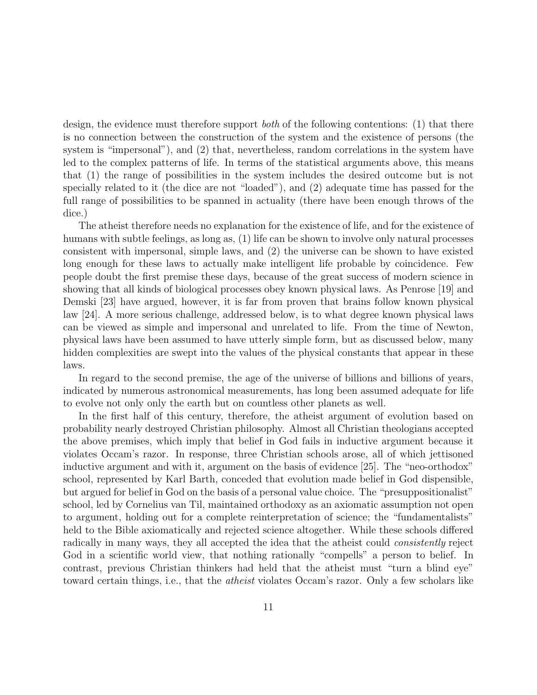design, the evidence must therefore support *both* of the following contentions: (1) that there is no connection between the construction of the system and the existence of persons (the system is "impersonal"), and (2) that, nevertheless, random correlations in the system have led to the complex patterns of life. In terms of the statistical arguments above, this means that (1) the range of possibilities in the system includes the desired outcome but is not specially related to it (the dice are not "loaded"), and (2) adequate time has passed for the full range of possibilities to be spanned in actuality (there have been enough throws of the dice.)

The atheist therefore needs no explanation for the existence of life, and for the existence of humans with subtle feelings, as long as, (1) life can be shown to involve only natural processes consistent with impersonal, simple laws, and (2) the universe can be shown to have existed long enough for these laws to actually make intelligent life probable by coincidence. Few people doubt the first premise these days, because of the great success of modern science in showing that all kinds of biological processes obey known physical laws. As Penrose [19] and Demski [23] have argued, however, it is far from proven that brains follow known physical law [24]. A more serious challenge, addressed below, is to what degree known physical laws can be viewed as simple and impersonal and unrelated to life. From the time of Newton, physical laws have been assumed to have utterly simple form, but as discussed below, many hidden complexities are swept into the values of the physical constants that appear in these laws.

In regard to the second premise, the age of the universe of billions and billions of years, indicated by numerous astronomical measurements, has long been assumed adequate for life to evolve not only only the earth but on countless other planets as well.

In the first half of this century, therefore, the atheist argument of evolution based on probability nearly destroyed Christian philosophy. Almost all Christian theologians accepted the above premises, which imply that belief in God fails in inductive argument because it violates Occam's razor. In response, three Christian schools arose, all of which jettisoned inductive argument and with it, argument on the basis of evidence [25]. The "neo-orthodox" school, represented by Karl Barth, conceded that evolution made belief in God dispensible, but argued for belief in God on the basis of a personal value choice. The "presuppositionalist" school, led by Cornelius van Til, maintained orthodoxy as an axiomatic assumption not open to argument, holding out for a complete reinterpretation of science; the "fundamentalists" held to the Bible axiomatically and rejected science altogether. While these schools differed radically in many ways, they all accepted the idea that the atheist could *consistently* reject God in a scientific world view, that nothing rationally "compells" a person to belief. In contrast, previous Christian thinkers had held that the atheist must "turn a blind eye" toward certain things, i.e., that the *atheist* violates Occam's razor. Only a few scholars like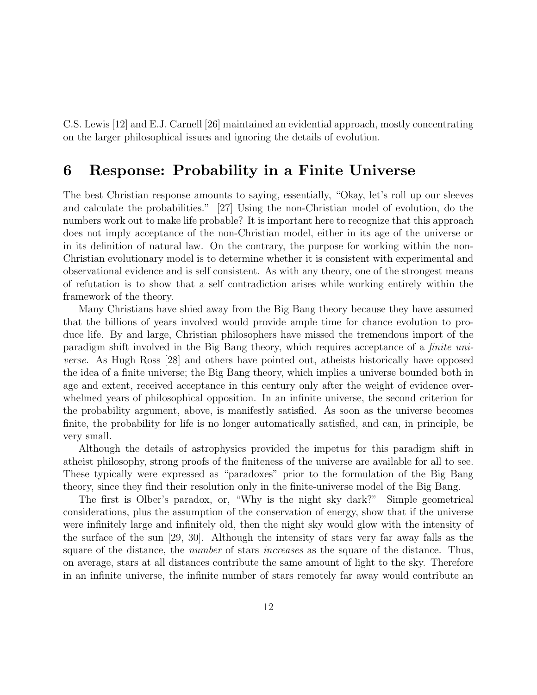C.S. Lewis [12] and E.J. Carnell [26] maintained an evidential approach, mostly concentrating on the larger philosophical issues and ignoring the details of evolution.

### **6 Response: Probability in a Finite Universe**

The best Christian response amounts to saying, essentially, "Okay, let's roll up our sleeves and calculate the probabilities." [27] Using the non-Christian model of evolution, do the numbers work out to make life probable? It is important here to recognize that this approach does not imply acceptance of the non-Christian model, either in its age of the universe or in its definition of natural law. On the contrary, the purpose for working within the non-Christian evolutionary model is to determine whether it is consistent with experimental and observational evidence and is self consistent. As with any theory, one of the strongest means of refutation is to show that a self contradiction arises while working entirely within the framework of the theory.

Many Christians have shied away from the Big Bang theory because they have assumed that the billions of years involved would provide ample time for chance evolution to produce life. By and large, Christian philosophers have missed the tremendous import of the paradigm shift involved in the Big Bang theory, which requires acceptance of a finite universe. As Hugh Ross [28] and others have pointed out, atheists historically have opposed the idea of a finite universe; the Big Bang theory, which implies a universe bounded both in age and extent, received acceptance in this century only after the weight of evidence overwhelmed years of philosophical opposition. In an infinite universe, the second criterion for the probability argument, above, is manifestly satisfied. As soon as the universe becomes finite, the probability for life is no longer automatically satisfied, and can, in principle, be very small.

Although the details of astrophysics provided the impetus for this paradigm shift in atheist philosophy, strong proofs of the finiteness of the universe are available for all to see. These typically were expressed as "paradoxes" prior to the formulation of the Big Bang theory, since they find their resolution only in the finite-universe model of the Big Bang.

The first is Olber's paradox, or, "Why is the night sky dark?" Simple geometrical considerations, plus the assumption of the conservation of energy, show that if the universe were infinitely large and infinitely old, then the night sky would glow with the intensity of the surface of the sun [29, 30]. Although the intensity of stars very far away falls as the square of the distance, the number of stars increases as the square of the distance. Thus, on average, stars at all distances contribute the same amount of light to the sky. Therefore in an infinite universe, the infinite number of stars remotely far away would contribute an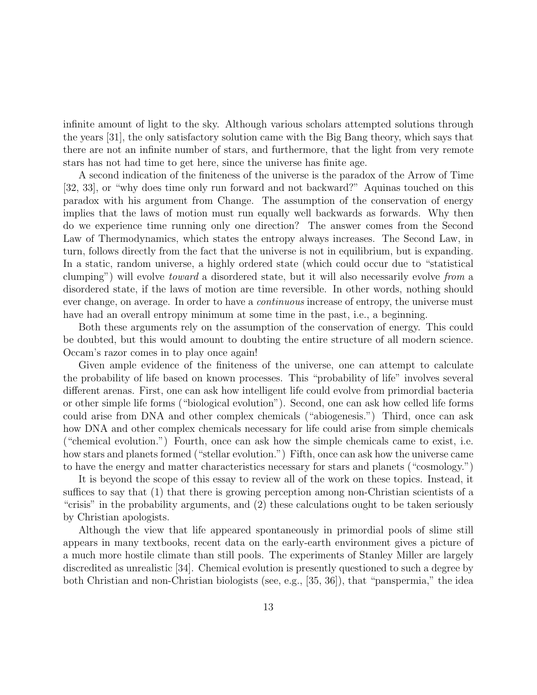infinite amount of light to the sky. Although various scholars attempted solutions through the years [31], the only satisfactory solution came with the Big Bang theory, which says that there are not an infinite number of stars, and furthermore, that the light from very remote stars has not had time to get here, since the universe has finite age.

A second indication of the finiteness of the universe is the paradox of the Arrow of Time [32, 33], or "why does time only run forward and not backward?" Aquinas touched on this paradox with his argument from Change. The assumption of the conservation of energy implies that the laws of motion must run equally well backwards as forwards. Why then do we experience time running only one direction? The answer comes from the Second Law of Thermodynamics, which states the entropy always increases. The Second Law, in turn, follows directly from the fact that the universe is not in equilibrium, but is expanding. In a static, random universe, a highly ordered state (which could occur due to "statistical clumping") will evolve toward a disordered state, but it will also necessarily evolve from a disordered state, if the laws of motion are time reversible. In other words, nothing should ever change, on average. In order to have a *continuous* increase of entropy, the universe must have had an overall entropy minimum at some time in the past, i.e., a beginning.

Both these arguments rely on the assumption of the conservation of energy. This could be doubted, but this would amount to doubting the entire structure of all modern science. Occam's razor comes in to play once again!

Given ample evidence of the finiteness of the universe, one can attempt to calculate the probability of life based on known processes. This "probability of life" involves several different arenas. First, one can ask how intelligent life could evolve from primordial bacteria or other simple life forms ("biological evolution"). Second, one can ask how celled life forms could arise from DNA and other complex chemicals ("abiogenesis.") Third, once can ask how DNA and other complex chemicals necessary for life could arise from simple chemicals ("chemical evolution.") Fourth, once can ask how the simple chemicals came to exist, i.e. how stars and planets formed ("stellar evolution.") Fifth, once can ask how the universe came to have the energy and matter characteristics necessary for stars and planets ("cosmology.")

It is beyond the scope of this essay to review all of the work on these topics. Instead, it suffices to say that (1) that there is growing perception among non-Christian scientists of a "crisis" in the probability arguments, and (2) these calculations ought to be taken seriously by Christian apologists.

Although the view that life appeared spontaneously in primordial pools of slime still appears in many textbooks, recent data on the early-earth environment gives a picture of a much more hostile climate than still pools. The experiments of Stanley Miller are largely discredited as unrealistic [34]. Chemical evolution is presently questioned to such a degree by both Christian and non-Christian biologists (see, e.g., [35, 36]), that "panspermia," the idea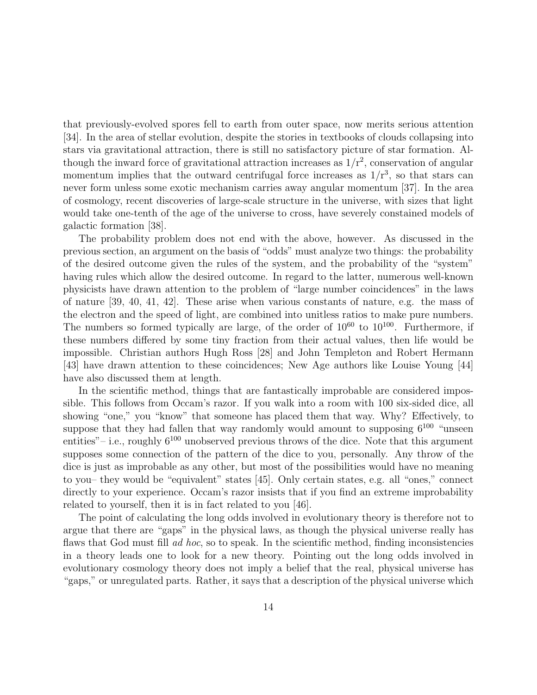that previously-evolved spores fell to earth from outer space, now merits serious attention [34]. In the area of stellar evolution, despite the stories in textbooks of clouds collapsing into stars via gravitational attraction, there is still no satisfactory picture of star formation. Although the inward force of gravitational attraction increases as  $1/r^2$ , conservation of angular momentum implies that the outward centrifugal force increases as  $1/r<sup>3</sup>$ , so that stars can never form unless some exotic mechanism carries away angular momentum [37]. In the area of cosmology, recent discoveries of large-scale structure in the universe, with sizes that light would take one-tenth of the age of the universe to cross, have severely constained models of galactic formation [38].

The probability problem does not end with the above, however. As discussed in the previous section, an argument on the basis of "odds" must analyze two things: the probability of the desired outcome given the rules of the system, and the probability of the "system" having rules which allow the desired outcome. In regard to the latter, numerous well-known physicists have drawn attention to the problem of "large number coincidences" in the laws of nature [39, 40, 41, 42]. These arise when various constants of nature, e.g. the mass of the electron and the speed of light, are combined into unitless ratios to make pure numbers. The numbers so formed typically are large, of the order of  $10^{60}$  to  $10^{100}$ . Furthermore, if these numbers differed by some tiny fraction from their actual values, then life would be impossible. Christian authors Hugh Ross [28] and John Templeton and Robert Hermann [43] have drawn attention to these coincidences; New Age authors like Louise Young [44] have also discussed them at length.

In the scientific method, things that are fantastically improbable are considered impossible. This follows from Occam's razor. If you walk into a room with 100 six-sided dice, all showing "one," you "know" that someone has placed them that way. Why? Effectively, to suppose that they had fallen that way randomly would amount to supposing  $6^{100}$  "unseen entities"– i.e., roughly  $6^{100}$  unobserved previous throws of the dice. Note that this argument supposes some connection of the pattern of the dice to you, personally. Any throw of the dice is just as improbable as any other, but most of the possibilities would have no meaning to you– they would be "equivalent" states [45]. Only certain states, e.g. all "ones," connect directly to your experience. Occam's razor insists that if you find an extreme improbability related to yourself, then it is in fact related to you [46].

The point of calculating the long odds involved in evolutionary theory is therefore not to argue that there are "gaps" in the physical laws, as though the physical universe really has flaws that God must fill ad hoc, so to speak. In the scientific method, finding inconsistencies in a theory leads one to look for a new theory. Pointing out the long odds involved in evolutionary cosmology theory does not imply a belief that the real, physical universe has "gaps," or unregulated parts. Rather, it says that a description of the physical universe which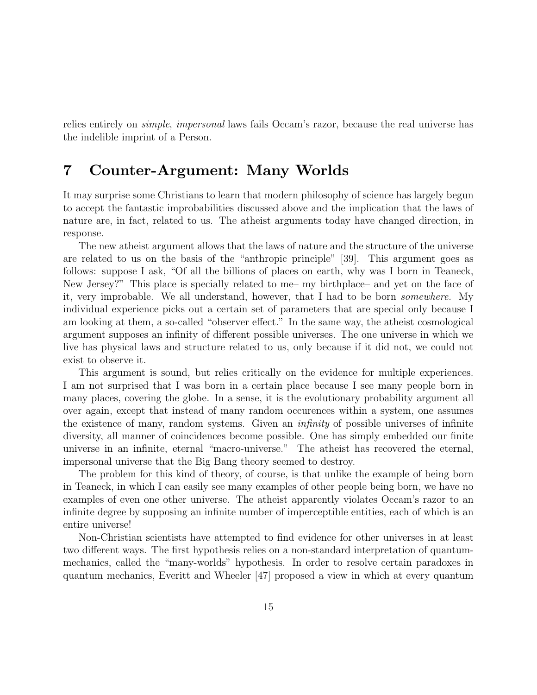relies entirely on simple, impersonal laws fails Occam's razor, because the real universe has the indelible imprint of a Person.

# **7 Counter-Argument: Many Worlds**

It may surprise some Christians to learn that modern philosophy of science has largely begun to accept the fantastic improbabilities discussed above and the implication that the laws of nature are, in fact, related to us. The atheist arguments today have changed direction, in response.

The new atheist argument allows that the laws of nature and the structure of the universe are related to us on the basis of the "anthropic principle" [39]. This argument goes as follows: suppose I ask, "Of all the billions of places on earth, why was I born in Teaneck, New Jersey?" This place is specially related to me– my birthplace– and yet on the face of it, very improbable. We all understand, however, that I had to be born somewhere. My individual experience picks out a certain set of parameters that are special only because I am looking at them, a so-called "observer effect." In the same way, the atheist cosmological argument supposes an infinity of different possible universes. The one universe in which we live has physical laws and structure related to us, only because if it did not, we could not exist to observe it.

This argument is sound, but relies critically on the evidence for multiple experiences. I am not surprised that I was born in a certain place because I see many people born in many places, covering the globe. In a sense, it is the evolutionary probability argument all over again, except that instead of many random occurences within a system, one assumes the existence of many, random systems. Given an infinity of possible universes of infinite diversity, all manner of coincidences become possible. One has simply embedded our finite universe in an infinite, eternal "macro-universe." The atheist has recovered the eternal, impersonal universe that the Big Bang theory seemed to destroy.

The problem for this kind of theory, of course, is that unlike the example of being born in Teaneck, in which I can easily see many examples of other people being born, we have no examples of even one other universe. The atheist apparently violates Occam's razor to an infinite degree by supposing an infinite number of imperceptible entities, each of which is an entire universe!

Non-Christian scientists have attempted to find evidence for other universes in at least two different ways. The first hypothesis relies on a non-standard interpretation of quantummechanics, called the "many-worlds" hypothesis. In order to resolve certain paradoxes in quantum mechanics, Everitt and Wheeler [47] proposed a view in which at every quantum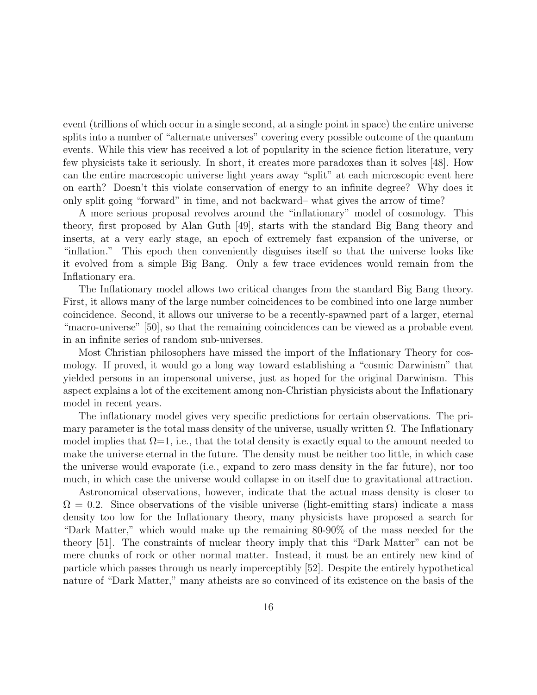event (trillions of which occur in a single second, at a single point in space) the entire universe splits into a number of "alternate universes" covering every possible outcome of the quantum events. While this view has received a lot of popularity in the science fiction literature, very few physicists take it seriously. In short, it creates more paradoxes than it solves [48]. How can the entire macroscopic universe light years away "split" at each microscopic event here on earth? Doesn't this violate conservation of energy to an infinite degree? Why does it only split going "forward" in time, and not backward– what gives the arrow of time?

A more serious proposal revolves around the "inflationary" model of cosmology. This theory, first proposed by Alan Guth [49], starts with the standard Big Bang theory and inserts, at a very early stage, an epoch of extremely fast expansion of the universe, or "inflation." This epoch then conveniently disguises itself so that the universe looks like it evolved from a simple Big Bang. Only a few trace evidences would remain from the Inflationary era.

The Inflationary model allows two critical changes from the standard Big Bang theory. First, it allows many of the large number coincidences to be combined into one large number coincidence. Second, it allows our universe to be a recently-spawned part of a larger, eternal "macro-universe" [50], so that the remaining coincidences can be viewed as a probable event in an infinite series of random sub-universes.

Most Christian philosophers have missed the import of the Inflationary Theory for cosmology. If proved, it would go a long way toward establishing a "cosmic Darwinism" that yielded persons in an impersonal universe, just as hoped for the original Darwinism. This aspect explains a lot of the excitement among non-Christian physicists about the Inflationary model in recent years.

The inflationary model gives very specific predictions for certain observations. The primary parameter is the total mass density of the universe, usually written  $\Omega$ . The Inflationary model implies that  $\Omega = 1$ , i.e., that the total density is exactly equal to the amount needed to make the universe eternal in the future. The density must be neither too little, in which case the universe would evaporate (i.e., expand to zero mass density in the far future), nor too much, in which case the universe would collapse in on itself due to gravitational attraction.

Astronomical observations, however, indicate that the actual mass density is closer to  $\Omega = 0.2$ . Since observations of the visible universe (light-emitting stars) indicate a mass density too low for the Inflationary theory, many physicists have proposed a search for "Dark Matter," which would make up the remaining 80-90% of the mass needed for the theory [51]. The constraints of nuclear theory imply that this "Dark Matter" can not be mere chunks of rock or other normal matter. Instead, it must be an entirely new kind of particle which passes through us nearly imperceptibly [52]. Despite the entirely hypothetical nature of "Dark Matter," many atheists are so convinced of its existence on the basis of the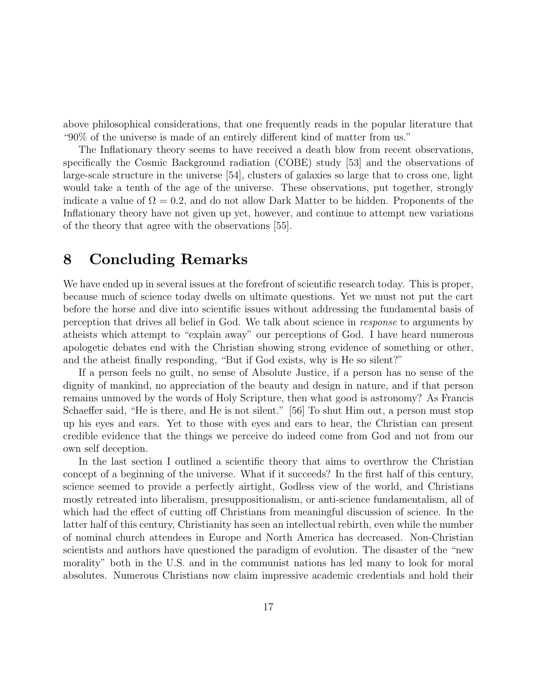above philosophical considerations, that one frequently reads in the popular literature that "90% of the universe is made of an entirely different kind of matter from us."

The Inflationary theory seems to have received a death blow from recent observations, specifically the Cosmic Background radiation (COBE) study [53] and the observations of large-scale structure in the universe [54], clusters of galaxies so large that to cross one, light would take a tenth of the age of the universe. These observations, put together, strongly indicate a value of  $\Omega = 0.2$ , and do not allow Dark Matter to be hidden. Proponents of the Inflationary theory have not given up yet, however, and continue to attempt new variations of the theory that agree with the observations [55].

## **8 Concluding Remarks**

We have ended up in several issues at the forefront of scientific research today. This is proper, because much of science today dwells on ultimate questions. Yet we must not put the cart before the horse and dive into scientific issues without addressing the fundamental basis of perception that drives all belief in God. We talk about science in response to arguments by atheists which attempt to "explain away" our perceptions of God. I have heard numerous apologetic debates end with the Christian showing strong evidence of something or other, and the atheist finally responding, "But if God exists, why is He so silent?"

If a person feels no guilt, no sense of Absolute Justice, if a person has no sense of the dignity of mankind, no appreciation of the beauty and design in nature, and if that person remains unmoved by the words of Holy Scripture, then what good is astronomy? As Francis Schaeffer said, "He is there, and He is not silent." [56] To shut Him out, a person must stop up his eyes and ears. Yet to those with eyes and ears to hear, the Christian can present credible evidence that the things we perceive do indeed come from God and not from our own self deception.

In the last section I outlined a scientific theory that aims to overthrow the Christian concept of a beginning of the universe. What if it succeeds? In the first half of this century, science seemed to provide a perfectly airtight, Godless view of the world, and Christians mostly retreated into liberalism, presuppositionalism, or anti-science fundamentalism, all of which had the effect of cutting off Christians from meaningful discussion of science. In the latter half of this century, Christianity has seen an intellectual rebirth, even while the number of nominal church attendees in Europe and North America has decreased. Non-Christian scientists and authors have questioned the paradigm of evolution. The disaster of the "new morality" both in the U.S. and in the communist nations has led many to look for moral absolutes. Numerous Christians now claim impressive academic credentials and hold their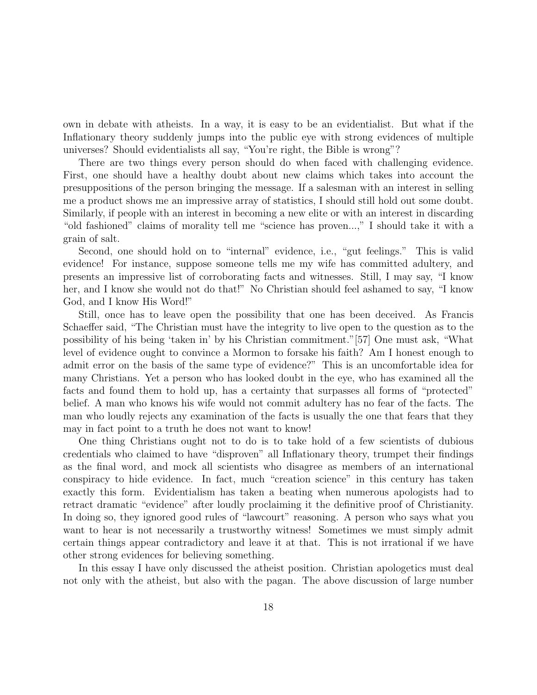own in debate with atheists. In a way, it is easy to be an evidentialist. But what if the Inflationary theory suddenly jumps into the public eye with strong evidences of multiple universes? Should evidentialists all say, "You're right, the Bible is wrong"?

There are two things every person should do when faced with challenging evidence. First, one should have a healthy doubt about new claims which takes into account the presuppositions of the person bringing the message. If a salesman with an interest in selling me a product shows me an impressive array of statistics, I should still hold out some doubt. Similarly, if people with an interest in becoming a new elite or with an interest in discarding "old fashioned" claims of morality tell me "science has proven...," I should take it with a grain of salt.

Second, one should hold on to "internal" evidence, i.e., "gut feelings." This is valid evidence! For instance, suppose someone tells me my wife has committed adultery, and presents an impressive list of corroborating facts and witnesses. Still, I may say, "I know her, and I know she would not do that!" No Christian should feel ashamed to say, "I know God, and I know His Word!"

Still, once has to leave open the possibility that one has been deceived. As Francis Schaeffer said, "The Christian must have the integrity to live open to the question as to the possibility of his being 'taken in' by his Christian commitment."[57] One must ask, "What level of evidence ought to convince a Mormon to forsake his faith? Am I honest enough to admit error on the basis of the same type of evidence?" This is an uncomfortable idea for many Christians. Yet a person who has looked doubt in the eye, who has examined all the facts and found them to hold up, has a certainty that surpasses all forms of "protected" belief. A man who knows his wife would not commit adultery has no fear of the facts. The man who loudly rejects any examination of the facts is usually the one that fears that they may in fact point to a truth he does not want to know!

One thing Christians ought not to do is to take hold of a few scientists of dubious credentials who claimed to have "disproven" all Inflationary theory, trumpet their findings as the final word, and mock all scientists who disagree as members of an international conspiracy to hide evidence. In fact, much "creation science" in this century has taken exactly this form. Evidentialism has taken a beating when numerous apologists had to retract dramatic "evidence" after loudly proclaiming it the definitive proof of Christianity. In doing so, they ignored good rules of "lawcourt" reasoning. A person who says what you want to hear is not necessarily a trustworthy witness! Sometimes we must simply admit certain things appear contradictory and leave it at that. This is not irrational if we have other strong evidences for believing something.

In this essay I have only discussed the atheist position. Christian apologetics must deal not only with the atheist, but also with the pagan. The above discussion of large number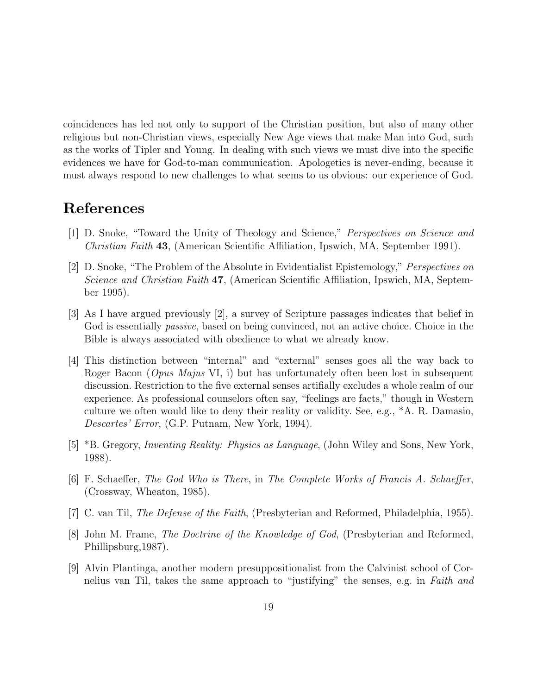coincidences has led not only to support of the Christian position, but also of many other religious but non-Christian views, especially New Age views that make Man into God, such as the works of Tipler and Young. In dealing with such views we must dive into the specific evidences we have for God-to-man communication. Apologetics is never-ending, because it must always respond to new challenges to what seems to us obvious: our experience of God.

## **References**

- [1] D. Snoke, "Toward the Unity of Theology and Science," Perspectives on Science and Christian Faith **43**, (American Scientific Affiliation, Ipswich, MA, September 1991).
- [2] D. Snoke, "The Problem of the Absolute in Evidentialist Epistemology," Perspectives on Science and Christian Faith **47**, (American Scientific Affiliation, Ipswich, MA, September 1995).
- [3] As I have argued previously [2], a survey of Scripture passages indicates that belief in God is essentially *passive*, based on being convinced, not an active choice. Choice in the Bible is always associated with obedience to what we already know.
- [4] This distinction between "internal" and "external" senses goes all the way back to Roger Bacon (*Opus Majus* VI, i) but has unfortunately often been lost in subsequent discussion. Restriction to the five external senses artifially excludes a whole realm of our experience. As professional counselors often say, "feelings are facts," though in Western culture we often would like to deny their reality or validity. See, e.g., \*A. R. Damasio, Descartes' Error, (G.P. Putnam, New York, 1994).
- [5] \*B. Gregory, Inventing Reality: Physics as Language, (John Wiley and Sons, New York, 1988).
- [6] F. Schaeffer, The God Who is There, in The Complete Works of Francis A. Schaeffer, (Crossway, Wheaton, 1985).
- [7] C. van Til, *The Defense of the Faith*, (Presbyterian and Reformed, Philadelphia, 1955).
- [8] John M. Frame, The Doctrine of the Knowledge of God, (Presbyterian and Reformed, Phillipsburg,1987).
- [9] Alvin Plantinga, another modern presuppositionalist from the Calvinist school of Cornelius van Til, takes the same approach to "justifying" the senses, e.g. in Faith and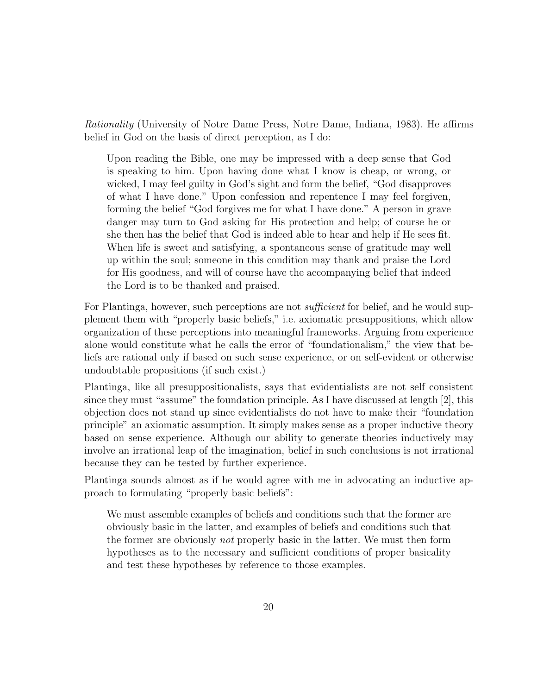Rationality (University of Notre Dame Press, Notre Dame, Indiana, 1983). He affirms belief in God on the basis of direct perception, as I do:

Upon reading the Bible, one may be impressed with a deep sense that God is speaking to him. Upon having done what I know is cheap, or wrong, or wicked, I may feel guilty in God's sight and form the belief, "God disapproves of what I have done." Upon confession and repentence I may feel forgiven, forming the belief "God forgives me for what I have done." A person in grave danger may turn to God asking for His protection and help; of course he or she then has the belief that God is indeed able to hear and help if He sees fit. When life is sweet and satisfying, a spontaneous sense of gratitude may well up within the soul; someone in this condition may thank and praise the Lord for His goodness, and will of course have the accompanying belief that indeed the Lord is to be thanked and praised.

For Plantinga, however, such perceptions are not *sufficient* for belief, and he would supplement them with "properly basic beliefs," i.e. axiomatic presuppositions, which allow organization of these perceptions into meaningful frameworks. Arguing from experience alone would constitute what he calls the error of "foundationalism," the view that beliefs are rational only if based on such sense experience, or on self-evident or otherwise undoubtable propositions (if such exist.)

Plantinga, like all presuppositionalists, says that evidentialists are not self consistent since they must "assume" the foundation principle. As I have discussed at length [2], this objection does not stand up since evidentialists do not have to make their "foundation principle" an axiomatic assumption. It simply makes sense as a proper inductive theory based on sense experience. Although our ability to generate theories inductively may involve an irrational leap of the imagination, belief in such conclusions is not irrational because they can be tested by further experience.

Plantinga sounds almost as if he would agree with me in advocating an inductive approach to formulating "properly basic beliefs":

We must assemble examples of beliefs and conditions such that the former are obviously basic in the latter, and examples of beliefs and conditions such that the former are obviously not properly basic in the latter. We must then form hypotheses as to the necessary and sufficient conditions of proper basicality and test these hypotheses by reference to those examples.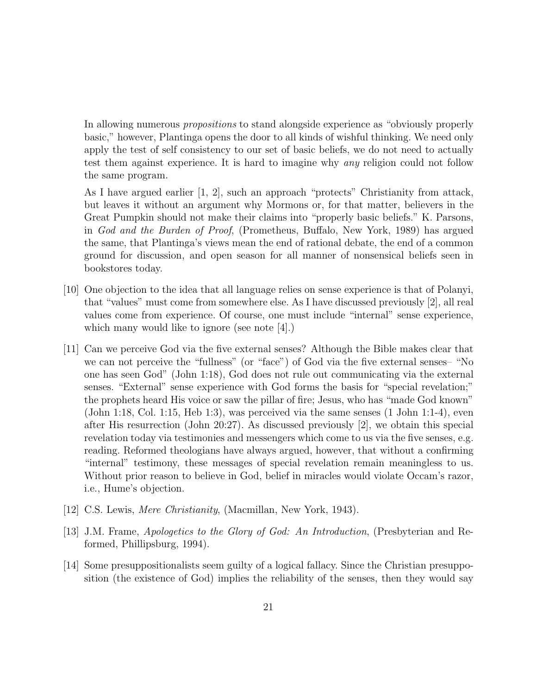In allowing numerous *propositions* to stand alongside experience as "obviously properly basic," however, Plantinga opens the door to all kinds of wishful thinking. We need only apply the test of self consistency to our set of basic beliefs, we do not need to actually test them against experience. It is hard to imagine why any religion could not follow the same program.

As I have argued earlier [1, 2], such an approach "protects" Christianity from attack, but leaves it without an argument why Mormons or, for that matter, believers in the Great Pumpkin should not make their claims into "properly basic beliefs." K. Parsons, in God and the Burden of Proof, (Prometheus, Buffalo, New York, 1989) has argued the same, that Plantinga's views mean the end of rational debate, the end of a common ground for discussion, and open season for all manner of nonsensical beliefs seen in bookstores today.

- [10] One objection to the idea that all language relies on sense experience is that of Polanyi, that "values" must come from somewhere else. As I have discussed previously [2], all real values come from experience. Of course, one must include "internal" sense experience, which many would like to ignore (see note [4].)
- [11] Can we perceive God via the five external senses? Although the Bible makes clear that we can not perceive the "fullness" (or "face") of God via the five external senses– "No one has seen God" (John 1:18), God does not rule out communicating via the external senses. "External" sense experience with God forms the basis for "special revelation;" the prophets heard His voice or saw the pillar of fire; Jesus, who has "made God known" (John 1:18, Col. 1:15, Heb 1:3), was perceived via the same senses (1 John 1:1-4), even after His resurrection (John 20:27). As discussed previously [2], we obtain this special revelation today via testimonies and messengers which come to us via the five senses, e.g. reading. Reformed theologians have always argued, however, that without a confirming "internal" testimony, these messages of special revelation remain meaningless to us. Without prior reason to believe in God, belief in miracles would violate Occam's razor, i.e., Hume's objection.
- [12] C.S. Lewis, *Mere Christianity*, (Macmillan, New York, 1943).
- [13] J.M. Frame, Apologetics to the Glory of God: An Introduction, (Presbyterian and Reformed, Phillipsburg, 1994).
- [14] Some presuppositionalists seem guilty of a logical fallacy. Since the Christian presupposition (the existence of God) implies the reliability of the senses, then they would say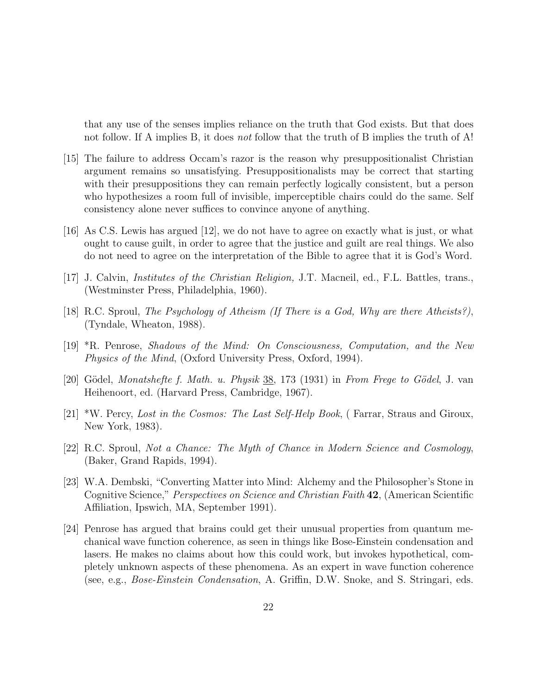that any use of the senses implies reliance on the truth that God exists. But that does not follow. If A implies B, it does not follow that the truth of B implies the truth of A!

- [15] The failure to address Occam's razor is the reason why presuppositionalist Christian argument remains so unsatisfying. Presuppositionalists may be correct that starting with their presuppositions they can remain perfectly logically consistent, but a person who hypothesizes a room full of invisible, imperceptible chairs could do the same. Self consistency alone never suffices to convince anyone of anything.
- [16] As C.S. Lewis has argued [12], we do not have to agree on exactly what is just, or what ought to cause guilt, in order to agree that the justice and guilt are real things. We also do not need to agree on the interpretation of the Bible to agree that it is God's Word.
- [17] J. Calvin, Institutes of the Christian Religion, J.T. Macneil, ed., F.L. Battles, trans., (Westminster Press, Philadelphia, 1960).
- [18] R.C. Sproul, The Psychology of Atheism (If There is a God, Why are there Atheists?), (Tyndale, Wheaton, 1988).
- [19] \*R. Penrose, Shadows of the Mind: On Consciousness, Computation, and the New Physics of the Mind, (Oxford University Press, Oxford, 1994).
- [20] Gödel, *Monatshefte f. Math. u. Physik*  $38, 173$  (1931) in From Frege to Gödel, J. van Heihenoort, ed. (Harvard Press, Cambridge, 1967).
- [21] \*W. Percy, Lost in the Cosmos: The Last Self-Help Book, ( Farrar, Straus and Giroux, New York, 1983).
- [22] R.C. Sproul, Not a Chance: The Myth of Chance in Modern Science and Cosmology, (Baker, Grand Rapids, 1994).
- [23] W.A. Dembski, "Converting Matter into Mind: Alchemy and the Philosopher's Stone in Cognitive Science," Perspectives on Science and Christian Faith **42**, (American Scientific Affiliation, Ipswich, MA, September 1991).
- [24] Penrose has argued that brains could get their unusual properties from quantum mechanical wave function coherence, as seen in things like Bose-Einstein condensation and lasers. He makes no claims about how this could work, but invokes hypothetical, completely unknown aspects of these phenomena. As an expert in wave function coherence (see, e.g., Bose-Einstein Condensation, A. Griffin, D.W. Snoke, and S. Stringari, eds.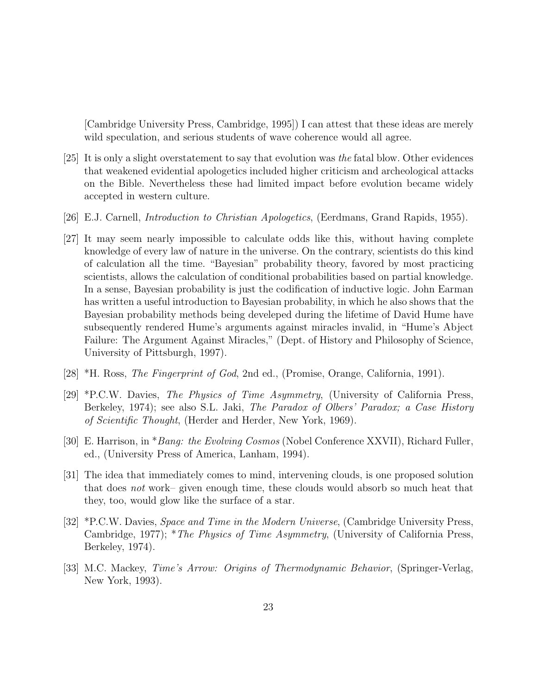[Cambridge University Press, Cambridge, 1995]) I can attest that these ideas are merely wild speculation, and serious students of wave coherence would all agree.

- [25] It is only a slight overstatement to say that evolution was the fatal blow. Other evidences that weakened evidential apologetics included higher criticism and archeological attacks on the Bible. Nevertheless these had limited impact before evolution became widely accepted in western culture.
- [26] E.J. Carnell, Introduction to Christian Apologetics, (Eerdmans, Grand Rapids, 1955).
- [27] It may seem nearly impossible to calculate odds like this, without having complete knowledge of every law of nature in the universe. On the contrary, scientists do this kind of calculation all the time. "Bayesian" probability theory, favored by most practicing scientists, allows the calculation of conditional probabilities based on partial knowledge. In a sense, Bayesian probability is just the codification of inductive logic. John Earman has written a useful introduction to Bayesian probability, in which he also shows that the Bayesian probability methods being develeped during the lifetime of David Hume have subsequently rendered Hume's arguments against miracles invalid, in "Hume's Abject Failure: The Argument Against Miracles," (Dept. of History and Philosophy of Science, University of Pittsburgh, 1997).
- [28] \*H. Ross, The Fingerprint of God, 2nd ed., (Promise, Orange, California, 1991).
- [29] \*P.C.W. Davies, The Physics of Time Asymmetry, (University of California Press, Berkeley, 1974); see also S.L. Jaki, *The Paradox of Olbers' Paradox; a Case History* of Scientific Thought, (Herder and Herder, New York, 1969).
- [30] E. Harrison, in \*Bang: the Evolving Cosmos (Nobel Conference XXVII), Richard Fuller, ed., (University Press of America, Lanham, 1994).
- [31] The idea that immediately comes to mind, intervening clouds, is one proposed solution that does not work– given enough time, these clouds would absorb so much heat that they, too, would glow like the surface of a star.
- [32] \*P.C.W. Davies, Space and Time in the Modern Universe, (Cambridge University Press, Cambridge, 1977); *\*The Physics of Time Asymmetry*, (University of California Press, Berkeley, 1974).
- [33] M.C. Mackey, Time's Arrow: Origins of Thermodynamic Behavior, (Springer-Verlag, New York, 1993).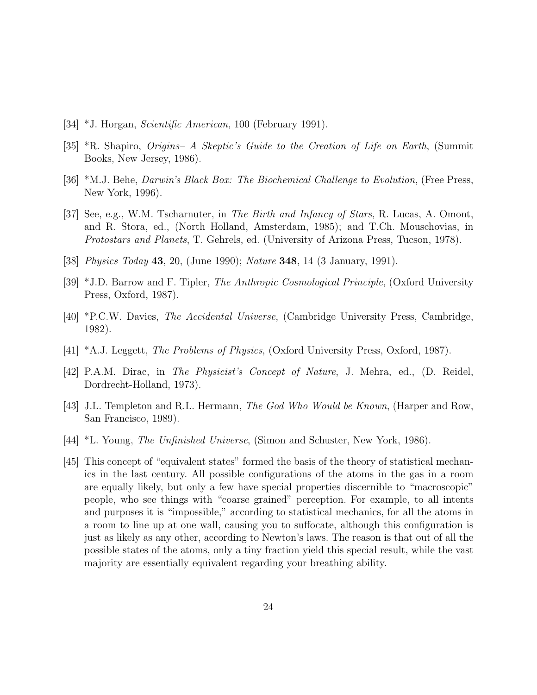- [34] \*J. Horgan, Scientific American, 100 (February 1991).
- [35] \*R. Shapiro, Origins– A Skeptic's Guide to the Creation of Life on Earth, (Summit Books, New Jersey, 1986).
- [36] \*M.J. Behe, Darwin's Black Box: The Biochemical Challenge to Evolution, (Free Press, New York, 1996).
- [37] See, e.g., W.M. Tscharnuter, in The Birth and Infancy of Stars, R. Lucas, A. Omont, and R. Stora, ed., (North Holland, Amsterdam, 1985); and T.Ch. Mouschovias, in Protostars and Planets, T. Gehrels, ed. (University of Arizona Press, Tucson, 1978).
- [38] Physics Today **43**, 20, (June 1990); Nature **348**, 14 (3 January, 1991).
- [39] \*J.D. Barrow and F. Tipler, The Anthropic Cosmological Principle, (Oxford University Press, Oxford, 1987).
- [40] \*P.C.W. Davies, The Accidental Universe, (Cambridge University Press, Cambridge, 1982).
- [41] \*A.J. Leggett, The Problems of Physics, (Oxford University Press, Oxford, 1987).
- [42] P.A.M. Dirac, in The Physicist's Concept of Nature, J. Mehra, ed., (D. Reidel, Dordrecht-Holland, 1973).
- [43] J.L. Templeton and R.L. Hermann, *The God Who Would be Known*, (Harper and Row, San Francisco, 1989).
- [44] \*L. Young, The Unfinished Universe, (Simon and Schuster, New York, 1986).
- [45] This concept of "equivalent states" formed the basis of the theory of statistical mechanics in the last century. All possible configurations of the atoms in the gas in a room are equally likely, but only a few have special properties discernible to "macroscopic" people, who see things with "coarse grained" perception. For example, to all intents and purposes it is "impossible," according to statistical mechanics, for all the atoms in a room to line up at one wall, causing you to suffocate, although this configuration is just as likely as any other, according to Newton's laws. The reason is that out of all the possible states of the atoms, only a tiny fraction yield this special result, while the vast majority are essentially equivalent regarding your breathing ability.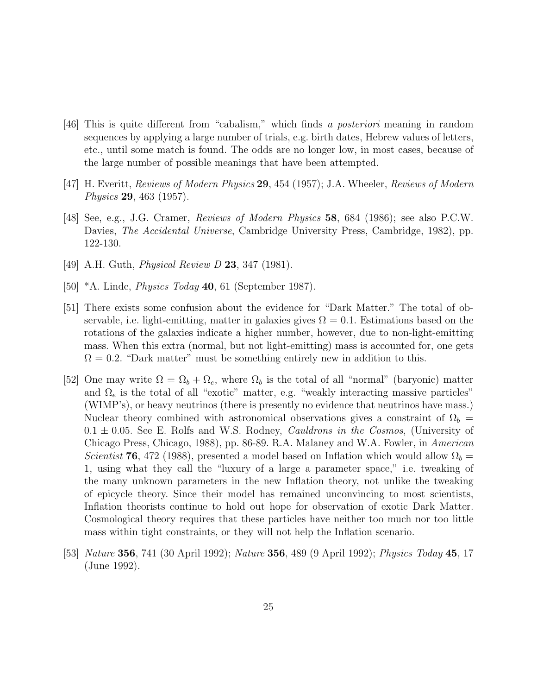- [46] This is quite different from "cabalism," which finds a posteriori meaning in random sequences by applying a large number of trials, e.g. birth dates, Hebrew values of letters, etc., until some match is found. The odds are no longer low, in most cases, because of the large number of possible meanings that have been attempted.
- [47] H. Everitt, Reviews of Modern Physics **29**, 454 (1957); J.A. Wheeler, Reviews of Modern Physics **29**, 463 (1957).
- [48] See, e.g., J.G. Cramer, Reviews of Modern Physics **58**, 684 (1986); see also P.C.W. Davies, The Accidental Universe, Cambridge University Press, Cambridge, 1982), pp. 122-130.
- [49] A.H. Guth, Physical Review D **23**, 347 (1981).
- [50] \*A. Linde, Physics Today **40**, 61 (September 1987).
- [51] There exists some confusion about the evidence for "Dark Matter." The total of observable, i.e. light-emitting, matter in galaxies gives  $\Omega = 0.1$ . Estimations based on the rotations of the galaxies indicate a higher number, however, due to non-light-emitting mass. When this extra (normal, but not light-emitting) mass is accounted for, one gets  $\Omega = 0.2$ . "Dark matter" must be something entirely new in addition to this.
- [52] One may write  $\Omega = \Omega_b + \Omega_e$ , where  $\Omega_b$  is the total of all "normal" (baryonic) matter and  $\Omega_e$  is the total of all "exotic" matter, e.g. "weakly interacting massive particles" (WIMP's), or heavy neutrinos (there is presently no evidence that neutrinos have mass.) Nuclear theory combined with astronomical observations gives a constraint of  $\Omega_b$  =  $0.1 \pm 0.05$ . See E. Rolfs and W.S. Rodney, *Cauldrons in the Cosmos*, (University of Chicago Press, Chicago, 1988), pp. 86-89. R.A. Malaney and W.A. Fowler, in American Scientist **76**, 472 (1988), presented a model based on Inflation which would allow  $\Omega_b$  = 1, using what they call the "luxury of a large a parameter space," i.e. tweaking of the many unknown parameters in the new Inflation theory, not unlike the tweaking of epicycle theory. Since their model has remained unconvincing to most scientists, Inflation theorists continue to hold out hope for observation of exotic Dark Matter. Cosmological theory requires that these particles have neither too much nor too little mass within tight constraints, or they will not help the Inflation scenario.
- [53] Nature **356**, 741 (30 April 1992); Nature **356**, 489 (9 April 1992); Physics Today **45**, 17 (June 1992).